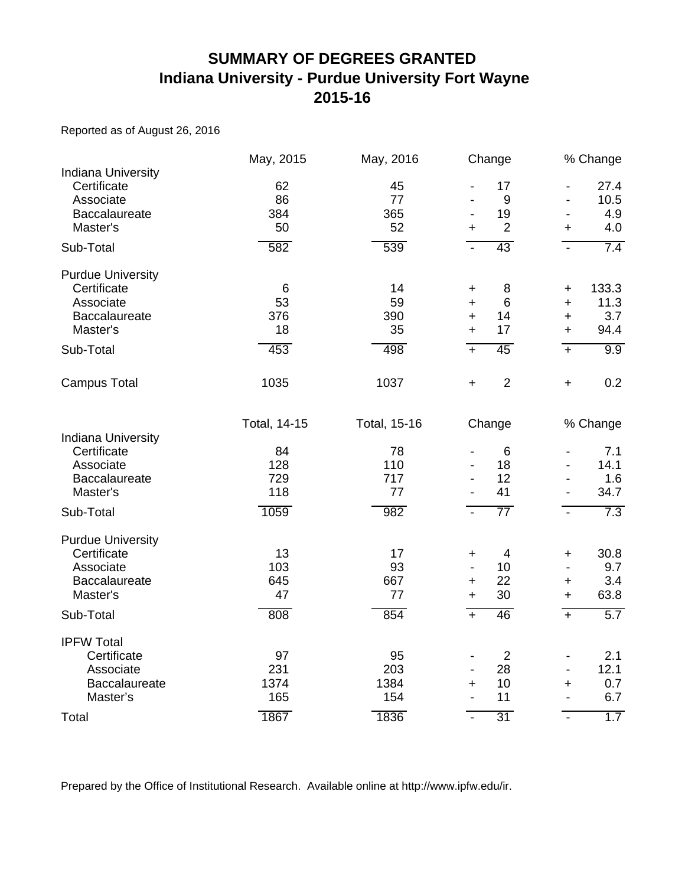#### **SUMMARY OF DEGREES GRANTED Indiana University - Purdue University Fort Wayne 2015-16**

Reported as of August 26, 2016

|                                                                                                       | May, 2015                               | May, 2016                              | Change                                                                                                       | % Change                                                                                                         |
|-------------------------------------------------------------------------------------------------------|-----------------------------------------|----------------------------------------|--------------------------------------------------------------------------------------------------------------|------------------------------------------------------------------------------------------------------------------|
| <b>Indiana University</b><br>Certificate<br>Associate<br>Baccalaureate<br>Master's                    | 62<br>86<br>384<br>50                   | 45<br>77<br>365<br>52                  | 17<br>9<br>19<br>$\overline{2}$<br>$\ddot{}$                                                                 | 27.4<br>$\blacksquare$<br>10.5<br>$\overline{\phantom{0}}$<br>4.9<br>4.0<br>$\ddot{}$                            |
| Sub-Total                                                                                             | 582                                     | 539                                    | 43<br>$\blacksquare$                                                                                         | 7.4<br>$\mathbf{r}$                                                                                              |
| <b>Purdue University</b><br>Certificate<br>Associate<br><b>Baccalaureate</b><br>Master's<br>Sub-Total | $\,6\,$<br>53<br>376<br>18<br>453       | 14<br>59<br>390<br>35<br>498           | 8<br>$\ddot{}$<br>$6\phantom{1}6$<br>$\ddot{}$<br>14<br>$\ddot{}$<br>17<br>$\ddot{}$<br>45<br>$\overline{+}$ | 133.3<br>+<br>11.3<br>$\ddot{}$<br>3.7<br>+<br>94.4<br>$\ddot{}$<br>9.9<br>$+$                                   |
| <b>Campus Total</b>                                                                                   | 1035                                    | 1037                                   | $\overline{2}$<br>$\ddot{}$                                                                                  | 0.2<br>$\ddot{}$                                                                                                 |
| <b>Indiana University</b><br>Certificate<br>Associate<br>Baccalaureate<br>Master's                    | Total, 14-15<br>84<br>128<br>729<br>118 | Total, 15-16<br>78<br>110<br>717<br>77 | Change<br>$6\phantom{1}6$<br>18<br>12<br>41                                                                  | % Change<br>7.1<br>$\overline{\phantom{a}}$<br>14.1<br>1.6<br>$\blacksquare$<br>34.7<br>$\overline{\phantom{a}}$ |
| Sub-Total                                                                                             | 1059                                    | 982                                    | $\overline{77}$<br>$\blacksquare$                                                                            | 7.3<br>$\blacksquare$                                                                                            |
| <b>Purdue University</b><br>Certificate<br>Associate<br>Baccalaureate<br>Master's<br>Sub-Total        | 13<br>103<br>645<br>47<br>808           | 17<br>93<br>667<br>77<br>854           | $\overline{4}$<br>$\ddot{}$<br>10<br>22<br>$\ddot{}$<br>30<br>$\ddot{}$<br>46<br>$+$                         | 30.8<br>+<br>9.7<br>$\overline{\phantom{a}}$<br>3.4<br>$\ddot{}$<br>63.8<br>$\ddot{}$<br>5.7<br>$+$              |
|                                                                                                       |                                         |                                        |                                                                                                              |                                                                                                                  |
| <b>IPFW Total</b><br>Certificate<br>Associate<br>Baccalaureate<br>Master's                            | 97<br>231<br>1374<br>165                | 95<br>203<br>1384<br>154               | $\overline{2}$<br>28<br>$\overline{\phantom{a}}$<br>10<br>٠<br>11                                            | 2.1<br>$\overline{\phantom{a}}$<br>12.1<br>$\overline{\phantom{a}}$<br>0.7<br>+<br>6.7<br>$\blacksquare$         |
| Total                                                                                                 | 1867                                    | 1836                                   | $\overline{31}$<br>$\overline{a}$                                                                            | 1.7<br>$\mathbf{r}$                                                                                              |

Prepared by the Office of Institutional Research. Available online at http://www.ipfw.edu/ir.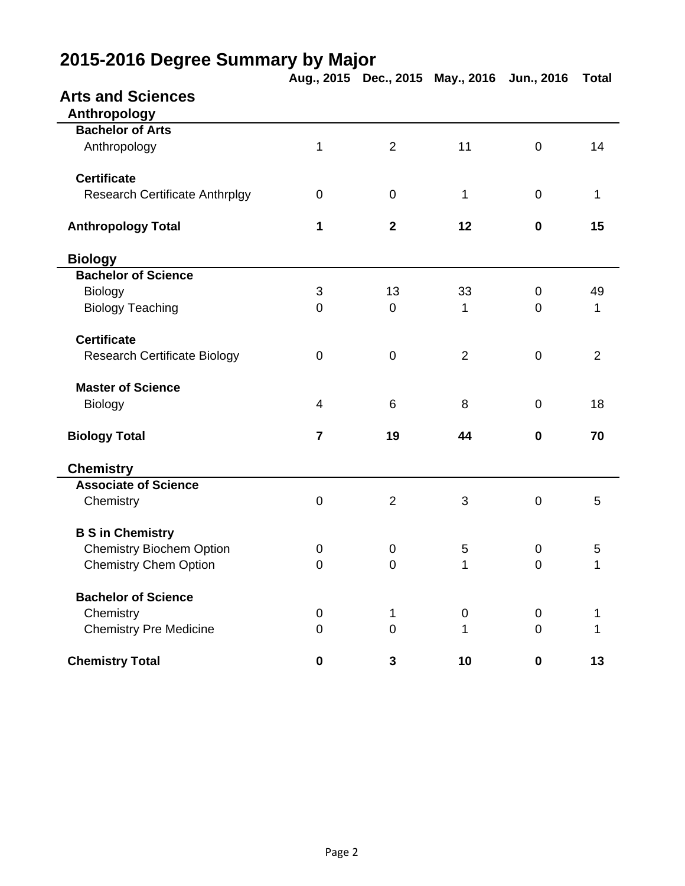|                                       |                  |                | Aug., 2015 Dec., 2015 May., 2016 Jun., 2016 |                | <b>Total</b>   |
|---------------------------------------|------------------|----------------|---------------------------------------------|----------------|----------------|
| <b>Arts and Sciences</b>              |                  |                |                                             |                |                |
| Anthropology                          |                  |                |                                             |                |                |
| <b>Bachelor of Arts</b>               |                  |                |                                             |                |                |
| Anthropology                          | 1                | $\overline{2}$ | 11                                          | $\mathbf 0$    | 14             |
| <b>Certificate</b>                    |                  |                |                                             |                |                |
| <b>Research Certificate Anthrplgy</b> | $\mathbf 0$      | $\mathbf 0$    | 1                                           | $\mathbf 0$    | $\mathbf{1}$   |
| <b>Anthropology Total</b>             | 1                | $\mathbf{2}$   | 12                                          | $\mathbf 0$    | 15             |
| <b>Biology</b>                        |                  |                |                                             |                |                |
| <b>Bachelor of Science</b>            |                  |                |                                             |                |                |
| <b>Biology</b>                        | 3                | 13             | 33                                          | $\mathbf 0$    | 49             |
| <b>Biology Teaching</b>               | 0                | $\mathbf 0$    | 1                                           | $\overline{0}$ | 1              |
| <b>Certificate</b>                    |                  |                |                                             |                |                |
| <b>Research Certificate Biology</b>   | $\boldsymbol{0}$ | $\mathbf 0$    | $\overline{2}$                              | $\mathbf 0$    | $\overline{2}$ |
| <b>Master of Science</b>              |                  |                |                                             |                |                |
| Biology                               | $\overline{4}$   | 6              | 8                                           | $\overline{0}$ | 18             |
| <b>Biology Total</b>                  | $\overline{7}$   | 19             | 44                                          | $\mathbf 0$    | 70             |
| <b>Chemistry</b>                      |                  |                |                                             |                |                |
| <b>Associate of Science</b>           |                  |                |                                             |                |                |
| Chemistry                             | $\mathsf 0$      | $\overline{2}$ | 3                                           | $\mathbf 0$    | 5              |
| <b>B S in Chemistry</b>               |                  |                |                                             |                |                |
| <b>Chemistry Biochem Option</b>       | 0                | $\mathbf 0$    | $\mathbf 5$                                 | $\pmb{0}$      | 5              |
| <b>Chemistry Chem Option</b>          | $\mathbf 0$      | $\mathbf 0$    | 1                                           | $\mathbf 0$    | 1              |
| <b>Bachelor of Science</b>            |                  |                |                                             |                |                |
| Chemistry                             | 0                | 1              | 0                                           | 0              |                |
| <b>Chemistry Pre Medicine</b>         | 0                | $\mathbf 0$    | 1                                           | $\mathbf 0$    | 1              |
| <b>Chemistry Total</b>                | $\bf{0}$         | 3              | 10                                          | $\mathbf 0$    | 13             |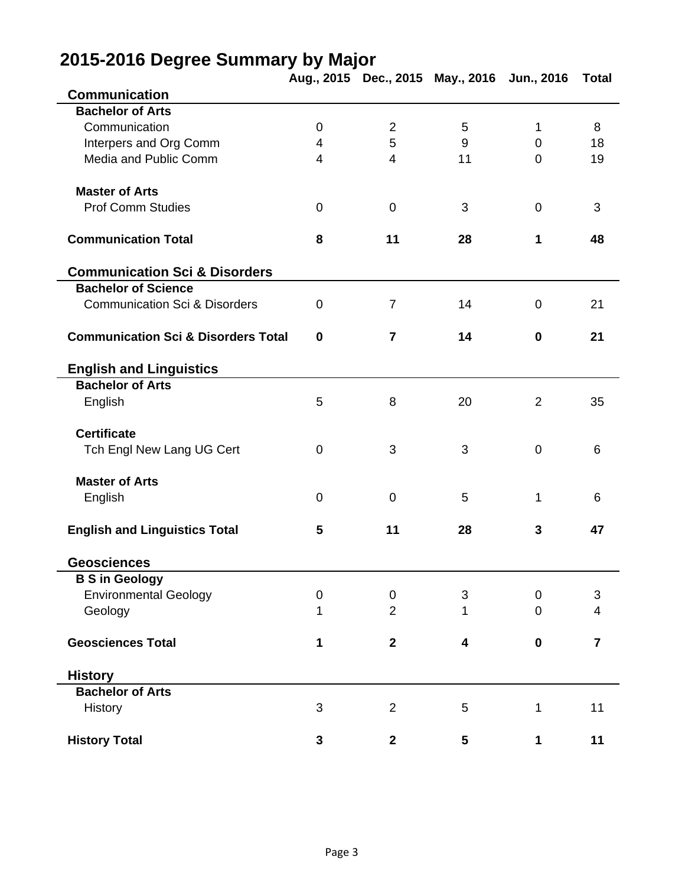|                                                |                |                | Aug., 2015 Dec., 2015 May., 2016 Jun., 2016 |                | <b>Total</b>   |
|------------------------------------------------|----------------|----------------|---------------------------------------------|----------------|----------------|
| <b>Communication</b>                           |                |                |                                             |                |                |
| <b>Bachelor of Arts</b>                        |                |                |                                             |                |                |
| Communication                                  | $\mathbf 0$    | $\overline{2}$ | 5                                           | 1              | 8              |
| Interpers and Org Comm                         | $\overline{4}$ | 5              | 9                                           | $\mathbf 0$    | 18             |
| Media and Public Comm                          | $\overline{4}$ | 4              | 11                                          | $\overline{0}$ | 19             |
| <b>Master of Arts</b>                          |                |                |                                             |                |                |
| <b>Prof Comm Studies</b>                       | $\pmb{0}$      | $\pmb{0}$      | 3                                           | $\mathbf 0$    | 3              |
| <b>Communication Total</b>                     | 8              | 11             | 28                                          | 1              | 48             |
| <b>Communication Sci &amp; Disorders</b>       |                |                |                                             |                |                |
| <b>Bachelor of Science</b>                     |                |                |                                             |                |                |
| <b>Communication Sci &amp; Disorders</b>       | 0              | $\overline{7}$ | 14                                          | $\mathbf 0$    | 21             |
| <b>Communication Sci &amp; Disorders Total</b> | $\mathbf 0$    | $\overline{7}$ | 14                                          | $\mathbf 0$    | 21             |
| <b>English and Linguistics</b>                 |                |                |                                             |                |                |
| <b>Bachelor of Arts</b>                        |                |                |                                             |                |                |
| English                                        | 5              | 8              | 20                                          | 2              | 35             |
| <b>Certificate</b>                             |                |                |                                             |                |                |
| Tch Engl New Lang UG Cert                      | 0              | 3              | 3                                           | $\mathbf 0$    | 6              |
| <b>Master of Arts</b>                          |                |                |                                             |                |                |
| English                                        | 0              | $\mathbf 0$    | 5                                           | 1              | 6              |
| <b>English and Linguistics Total</b>           | 5              | 11             | 28                                          | 3              | 47             |
| <b>Geosciences</b>                             |                |                |                                             |                |                |
| <b>B S in Geology</b>                          |                |                |                                             |                |                |
| <b>Environmental Geology</b>                   | 0              | 0              | 3                                           | $\mathbf 0$    | 3              |
| Geology                                        | 1              | $\overline{2}$ | 1                                           | 0              | 4              |
| <b>Geosciences Total</b>                       | 1              | $\overline{2}$ | 4                                           | $\bf{0}$       | $\overline{7}$ |
| <b>History</b>                                 |                |                |                                             |                |                |
| <b>Bachelor of Arts</b>                        |                |                |                                             |                |                |
| History                                        | 3              | 2              | 5                                           | 1              | 11             |
| <b>History Total</b>                           | 3              | $\mathbf{2}$   | 5                                           | 1              | 11             |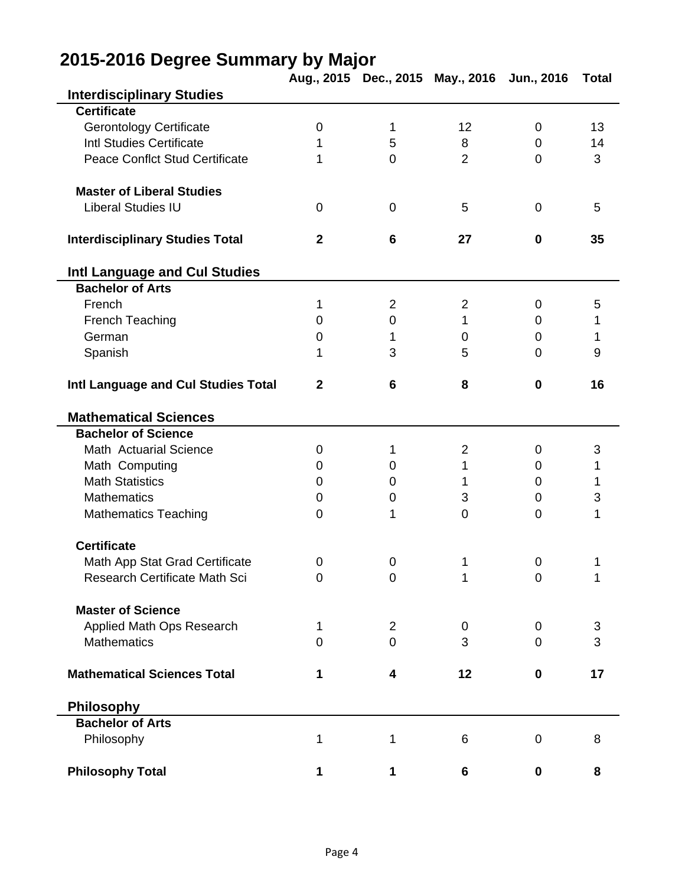|                                        |                |                | Aug., 2015 Dec., 2015 May., 2016 Jun., 2016 |             | <b>Total</b> |
|----------------------------------------|----------------|----------------|---------------------------------------------|-------------|--------------|
| <b>Interdisciplinary Studies</b>       |                |                |                                             |             |              |
| <b>Certificate</b>                     |                |                |                                             |             |              |
| <b>Gerontology Certificate</b>         | $\mathbf 0$    | $\mathbf 1$    | 12                                          | $\mathbf 0$ | 13           |
| <b>Intl Studies Certificate</b>        | 1              | 5              | 8                                           | $\mathbf 0$ | 14           |
| <b>Peace Conflct Stud Certificate</b>  | 1              | $\mathbf 0$    | $\overline{2}$                              | $\mathbf 0$ | 3            |
| <b>Master of Liberal Studies</b>       |                |                |                                             |             |              |
| <b>Liberal Studies IU</b>              | $\mathbf 0$    | $\mathbf 0$    | 5                                           | 0           | 5            |
| <b>Interdisciplinary Studies Total</b> | $\overline{2}$ | 6              | 27                                          | $\mathbf 0$ | 35           |
| Intl Language and Cul Studies          |                |                |                                             |             |              |
| <b>Bachelor of Arts</b>                |                |                |                                             |             |              |
| French                                 | 1              | $\overline{2}$ | $\overline{2}$                              | 0           | 5            |
| French Teaching                        | $\mathbf 0$    | $\pmb{0}$      | 1                                           | $\mathbf 0$ | 1            |
| German                                 | $\mathbf 0$    | 1              | 0                                           | 0           | 1            |
| Spanish                                | 1              | 3              | 5                                           | 0           | 9            |
| Intl Language and Cul Studies Total    | $\mathbf 2$    | 6              | 8                                           | $\mathbf 0$ | 16           |
| <b>Mathematical Sciences</b>           |                |                |                                             |             |              |
| <b>Bachelor of Science</b>             |                |                |                                             |             |              |
| Math Actuarial Science                 | 0              | 1              | $\overline{2}$                              | 0           | 3            |
| Math Computing                         | $\mathbf 0$    | $\mathbf 0$    | 1                                           | 0           | 1            |
| <b>Math Statistics</b>                 | 0              | 0              | 1                                           | $\mathbf 0$ | 1            |
| <b>Mathematics</b>                     | $\mathbf 0$    | $\mathbf 0$    | 3                                           | $\mathbf 0$ | 3            |
| <b>Mathematics Teaching</b>            | 0              | 1              | $\overline{0}$                              | 0           | 1            |
| <b>Certificate</b>                     |                |                |                                             |             |              |
| Math App Stat Grad Certificate         | 0              | $\mathbf 0$    | 1                                           | $\pmb{0}$   | 1            |
| Research Certificate Math Sci          | 0              | $\mathbf 0$    | 1                                           | $\mathbf 0$ | 1            |
| <b>Master of Science</b>               |                |                |                                             |             |              |
| Applied Math Ops Research              | 1              | 2              | 0                                           | 0           | 3            |
| <b>Mathematics</b>                     | 0              | $\mathbf 0$    | 3                                           | 0           | 3            |
| <b>Mathematical Sciences Total</b>     | 1              | 4              | 12                                          | 0           | 17           |
| <b>Philosophy</b>                      |                |                |                                             |             |              |
| <b>Bachelor of Arts</b>                |                |                |                                             |             |              |
| Philosophy                             | 1              | 1              | 6                                           | 0           | 8            |
| <b>Philosophy Total</b>                | 1              | 1              | 6                                           | $\mathbf 0$ | 8            |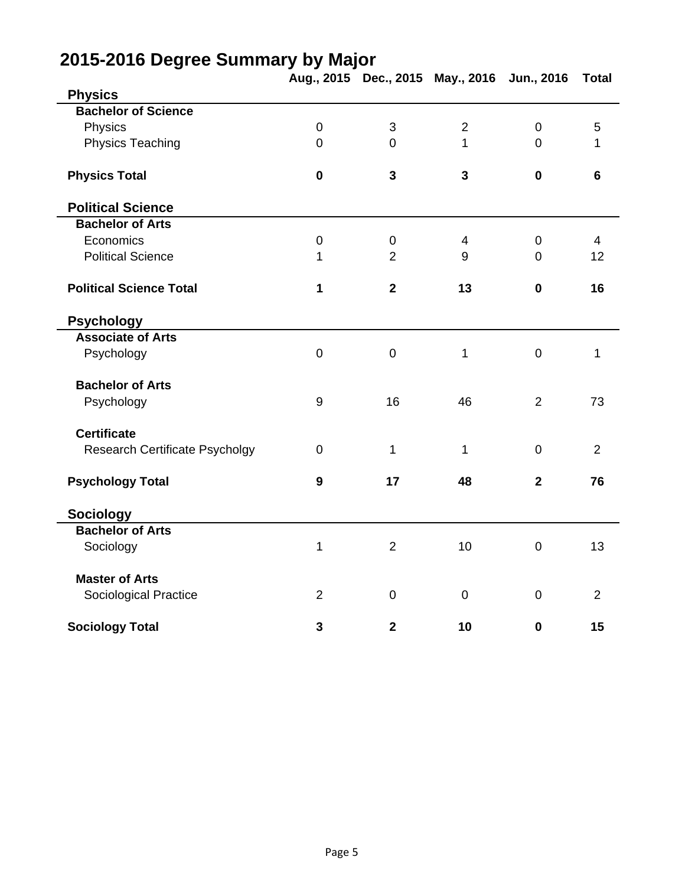|                                       |                  |                         | Aug., 2015 Dec., 2015 May., 2016 Jun., 2016 |                | <b>Total</b>    |
|---------------------------------------|------------------|-------------------------|---------------------------------------------|----------------|-----------------|
| <b>Physics</b>                        |                  |                         |                                             |                |                 |
| <b>Bachelor of Science</b>            |                  |                         |                                             |                |                 |
| Physics                               | $\mathbf 0$      | 3                       | $\overline{2}$                              | $\mathbf 0$    | 5               |
| <b>Physics Teaching</b>               | $\overline{0}$   | $\overline{0}$          | 1                                           | $\Omega$       | 1               |
| <b>Physics Total</b>                  | $\bf{0}$         | 3                       | $\overline{\mathbf{3}}$                     | $\mathbf 0$    | $6\phantom{1}6$ |
| <b>Political Science</b>              |                  |                         |                                             |                |                 |
| <b>Bachelor of Arts</b>               |                  |                         |                                             |                |                 |
| Economics                             | $\mathbf 0$      | $\mathbf 0$             | 4                                           | $\overline{0}$ | $\overline{4}$  |
| <b>Political Science</b>              | 1                | $\overline{2}$          | 9                                           | $\overline{0}$ | 12              |
| <b>Political Science Total</b>        | 1                | $\overline{\mathbf{2}}$ | 13                                          | $\mathbf 0$    | 16              |
| <b>Psychology</b>                     |                  |                         |                                             |                |                 |
| <b>Associate of Arts</b>              |                  |                         |                                             |                |                 |
| Psychology                            | $\overline{0}$   | $\mathbf 0$             | 1                                           | $\mathbf 0$    | 1               |
| <b>Bachelor of Arts</b>               |                  |                         |                                             |                |                 |
| Psychology                            | $\boldsymbol{9}$ | 16                      | 46                                          | $\overline{2}$ | 73              |
| <b>Certificate</b>                    |                  |                         |                                             |                |                 |
| <b>Research Certificate Psycholgy</b> | $\mathbf 0$      | $\mathbf 1$             | 1                                           | $\overline{0}$ | $\overline{2}$  |
| <b>Psychology Total</b>               | 9                | 17                      | 48                                          | $\mathbf{2}$   | 76              |
| <b>Sociology</b>                      |                  |                         |                                             |                |                 |
| <b>Bachelor of Arts</b>               |                  |                         |                                             |                |                 |
| Sociology                             | 1                | 2                       | 10                                          | $\mathbf 0$    | 13              |
| <b>Master of Arts</b>                 |                  |                         |                                             |                |                 |
| Sociological Practice                 | $\overline{2}$   | $\mathbf 0$             | $\mathbf 0$                                 | $\mathbf 0$    | $\overline{2}$  |
| <b>Sociology Total</b>                | 3                | $\mathbf 2$             | 10                                          | $\mathbf 0$    | 15              |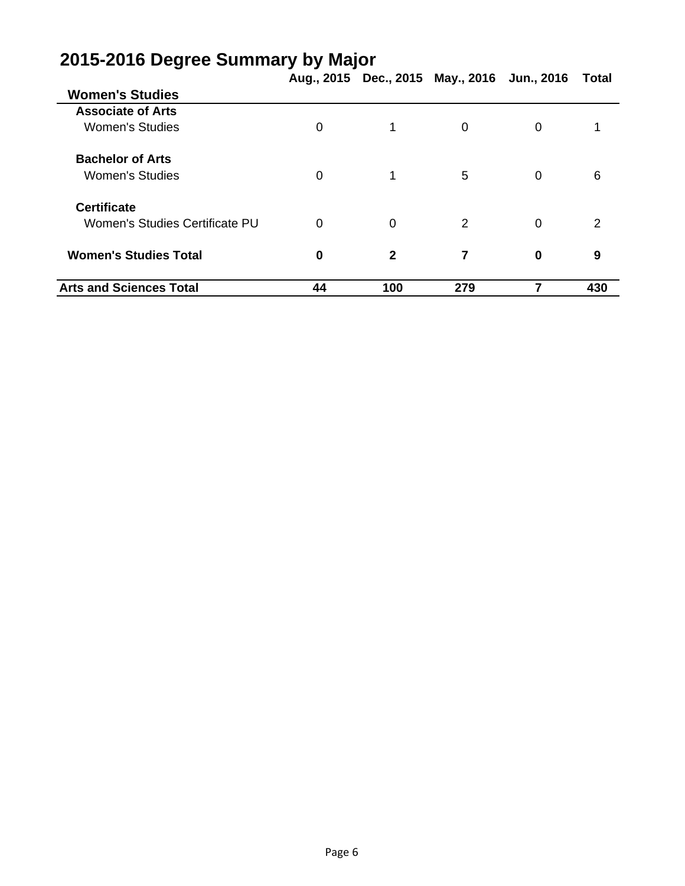|                                |          |                | Aug., 2015 Dec., 2015 May., 2016 Jun., 2016 |          | Total |
|--------------------------------|----------|----------------|---------------------------------------------|----------|-------|
| <b>Women's Studies</b>         |          |                |                                             |          |       |
| <b>Associate of Arts</b>       |          |                |                                             |          |       |
| <b>Women's Studies</b>         | 0        |                | 0                                           | $\Omega$ |       |
| <b>Bachelor of Arts</b>        |          |                |                                             |          |       |
| <b>Women's Studies</b>         | 0        | 1              | 5                                           | $\Omega$ | 6     |
| <b>Certificate</b>             |          |                |                                             |          |       |
| Women's Studies Certificate PU | 0        | $\overline{0}$ | 2                                           | $\Omega$ | 2     |
| <b>Women's Studies Total</b>   | $\bf{0}$ | $\mathbf{2}$   | 7                                           | $\bf{0}$ | 9     |
| <b>Arts and Sciences Total</b> | 44       | 100            | 279                                         |          | 430   |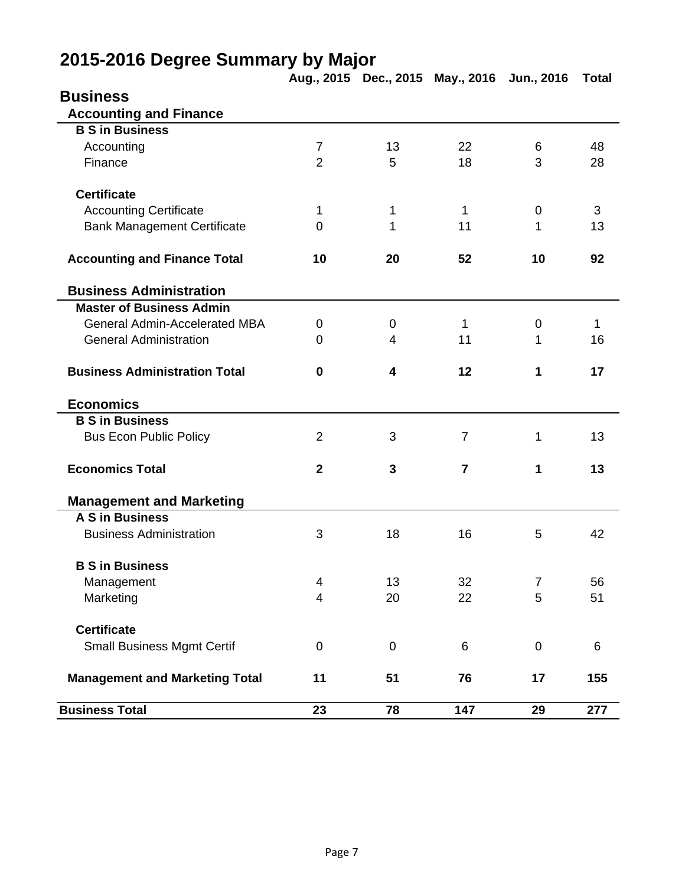|                                       |                |                         | Aug., 2015 Dec., 2015 May., 2016 Jun., 2016 |                | <b>Total</b> |
|---------------------------------------|----------------|-------------------------|---------------------------------------------|----------------|--------------|
| <b>Business</b>                       |                |                         |                                             |                |              |
| <b>Accounting and Finance</b>         |                |                         |                                             |                |              |
| <b>B S in Business</b>                |                |                         |                                             |                |              |
| Accounting                            | $\overline{7}$ | 13                      | 22                                          | 6              | 48           |
| Finance                               | $\overline{2}$ | 5                       | 18                                          | 3              | 28           |
|                                       |                |                         |                                             |                |              |
| <b>Certificate</b>                    |                |                         |                                             |                |              |
| <b>Accounting Certificate</b>         | 1              | 1                       | 1                                           | $\mathbf 0$    | 3            |
| <b>Bank Management Certificate</b>    | $\mathbf 0$    | 1                       | 11                                          | 1              | 13           |
|                                       |                |                         |                                             |                |              |
| <b>Accounting and Finance Total</b>   | 10             | 20                      | 52                                          | 10             | 92           |
|                                       |                |                         |                                             |                |              |
| <b>Business Administration</b>        |                |                         |                                             |                |              |
| <b>Master of Business Admin</b>       |                |                         |                                             |                |              |
| <b>General Admin-Accelerated MBA</b>  | 0              | $\mathbf 0$             | 1                                           | $\mathbf 0$    | 1            |
| <b>General Administration</b>         | 0              | 4                       | 11                                          | 1              | 16           |
|                                       |                |                         |                                             |                |              |
| <b>Business Administration Total</b>  | $\mathbf 0$    | $\overline{\mathbf{4}}$ | 12                                          | 1              | 17           |
|                                       |                |                         |                                             |                |              |
| <b>Economics</b>                      |                |                         |                                             |                |              |
| <b>B S in Business</b>                |                |                         |                                             |                |              |
| <b>Bus Econ Public Policy</b>         | $\overline{2}$ | 3                       | $\overline{7}$                              | 1              | 13           |
|                                       |                |                         |                                             |                |              |
| <b>Economics Total</b>                | $\overline{2}$ | 3                       | $\overline{7}$                              | 1              | 13           |
|                                       |                |                         |                                             |                |              |
| <b>Management and Marketing</b>       |                |                         |                                             |                |              |
| A S in Business                       |                |                         |                                             |                |              |
| <b>Business Administration</b>        | 3              | 18                      | 16                                          | 5              | 42           |
|                                       |                |                         |                                             |                |              |
| <b>B S in Business</b>                |                |                         |                                             |                |              |
| Management                            | 4              | 13                      | 32                                          | $\overline{7}$ | 56           |
| Marketing                             | $\overline{4}$ | 20                      | 22                                          | 5              | 51           |
|                                       |                |                         |                                             |                |              |
| <b>Certificate</b>                    |                |                         |                                             |                |              |
| <b>Small Business Mgmt Certif</b>     | $\mathbf 0$    | $\mathbf 0$             | 6                                           | $\mathbf 0$    | $\,6$        |
|                                       |                |                         |                                             |                |              |
| <b>Management and Marketing Total</b> | 11             | 51                      | 76                                          | 17             | 155          |
|                                       |                |                         |                                             |                |              |
| <b>Business Total</b>                 | 23             | 78                      | 147                                         | 29             | 277          |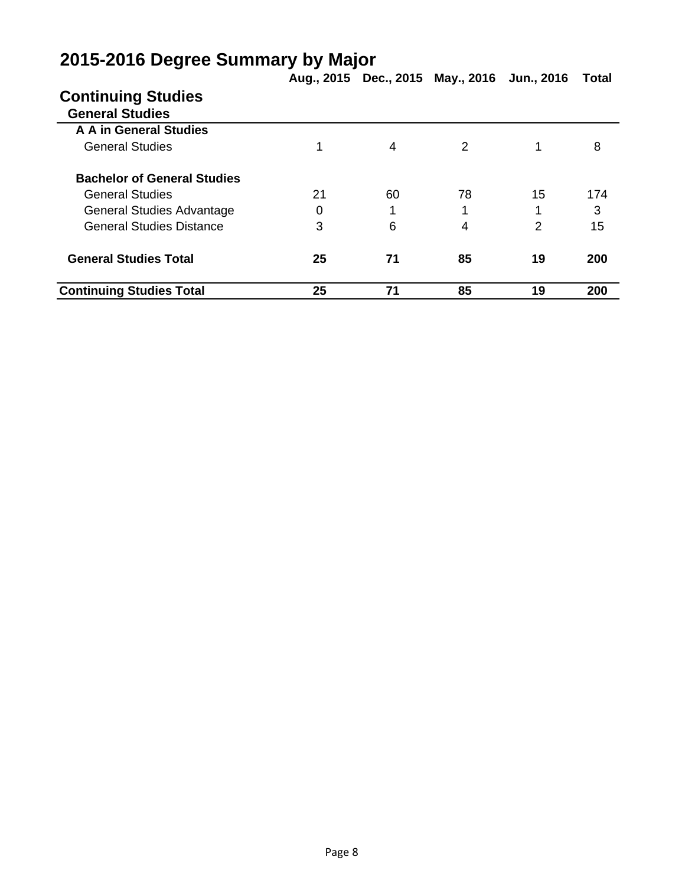|                                    |    |    | Aug., 2015 Dec., 2015 May., 2016 Jun., 2016 |    | Total |
|------------------------------------|----|----|---------------------------------------------|----|-------|
| <b>Continuing Studies</b>          |    |    |                                             |    |       |
| <b>General Studies</b>             |    |    |                                             |    |       |
| A A in General Studies             |    |    |                                             |    |       |
| <b>General Studies</b>             |    | 4  | 2                                           |    | 8     |
| <b>Bachelor of General Studies</b> |    |    |                                             |    |       |
| <b>General Studies</b>             | 21 | 60 | 78                                          | 15 | 174   |
| General Studies Advantage          | 0  | 1  | 1                                           |    | 3     |
| <b>General Studies Distance</b>    | 3  | 6  | 4                                           | 2  | 15    |
| <b>General Studies Total</b>       | 25 | 71 | 85                                          | 19 | 200   |
| <b>Continuing Studies Total</b>    | 25 | 71 | 85                                          | 19 | 200   |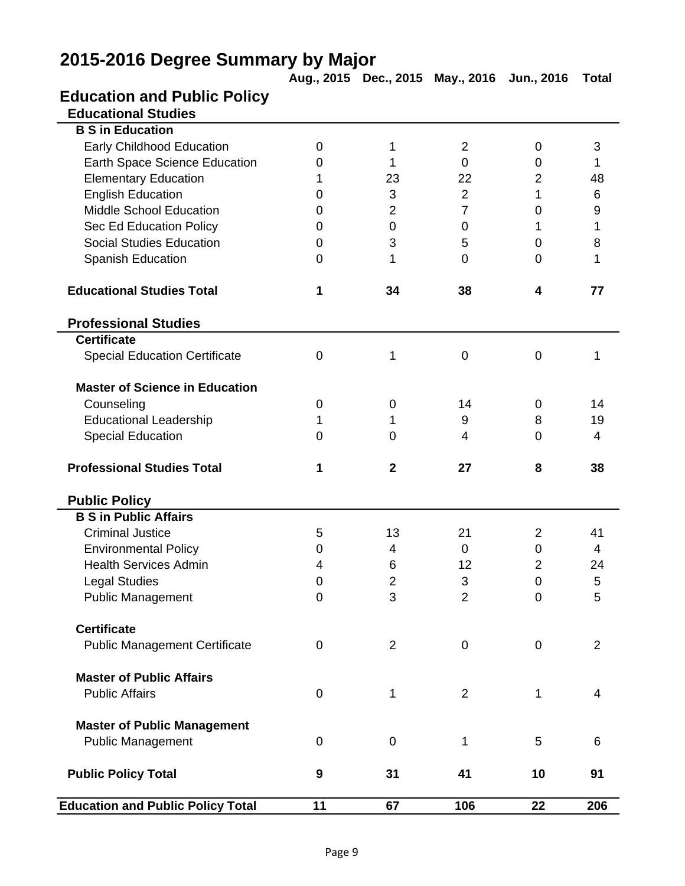|                                          |             |                | Aug., 2015 Dec., 2015 May., 2016 Jun., 2016 |                  | <b>Total</b>   |
|------------------------------------------|-------------|----------------|---------------------------------------------|------------------|----------------|
| <b>Education and Public Policy</b>       |             |                |                                             |                  |                |
| <b>Educational Studies</b>               |             |                |                                             |                  |                |
| <b>B S in Education</b>                  |             |                |                                             |                  |                |
| <b>Early Childhood Education</b>         | $\mathbf 0$ | 1              | $\overline{2}$                              | $\mathbf 0$      | 3              |
| Earth Space Science Education            | 0           | 1              | 0                                           | 0                | 1              |
| <b>Elementary Education</b>              | 1           | 23             | 22                                          | $\overline{2}$   | 48             |
| <b>English Education</b>                 | 0           | 3              | $\overline{2}$                              | 1                | 6              |
| <b>Middle School Education</b>           | 0           | $\overline{2}$ | $\overline{7}$                              | $\overline{0}$   | 9              |
| Sec Ed Education Policy                  | 0           | $\mathbf 0$    | $\overline{0}$                              | 1                | 1              |
| <b>Social Studies Education</b>          | 0           | 3              | 5                                           | 0                | 8              |
| Spanish Education                        | 0           | 1              | $\overline{0}$                              | $\Omega$         | 1              |
| <b>Educational Studies Total</b>         | 1           | 34             | 38                                          | 4                | 77             |
| <b>Professional Studies</b>              |             |                |                                             |                  |                |
| <b>Certificate</b>                       |             |                |                                             |                  |                |
| <b>Special Education Certificate</b>     | $\mathbf 0$ | 1              | $\mathbf 0$                                 | $\mathbf 0$      | 1              |
| <b>Master of Science in Education</b>    |             |                |                                             |                  |                |
| Counseling                               | 0           | $\mathbf 0$    | 14                                          | 0                | 14             |
| <b>Educational Leadership</b>            | 1           | 1              | 9                                           | 8                | 19             |
| <b>Special Education</b>                 | $\mathbf 0$ | $\mathbf 0$    | 4                                           | $\overline{0}$   | 4              |
| <b>Professional Studies Total</b>        | 1           | $\mathbf{2}$   | 27                                          | 8                | 38             |
| <b>Public Policy</b>                     |             |                |                                             |                  |                |
| <b>B S in Public Affairs</b>             |             |                |                                             |                  |                |
| <b>Criminal Justice</b>                  | 5           | 13             | 21                                          | $\overline{2}$   | 41             |
| <b>Environmental Policy</b>              | 0           | 4              | $\mathbf 0$                                 | $\boldsymbol{0}$ | 4              |
| <b>Health Services Admin</b>             | 4           | 6              | 12                                          | $\overline{2}$   | 24             |
| <b>Legal Studies</b>                     | 0           | $\mathbf 2$    | $\ensuremath{\mathsf{3}}$                   | 0                | 5              |
| <b>Public Management</b>                 | $\mathbf 0$ | 3              | $\overline{2}$                              | $\overline{0}$   | 5              |
| <b>Certificate</b>                       |             |                |                                             |                  |                |
| <b>Public Management Certificate</b>     | 0           | $\overline{2}$ | $\mathbf 0$                                 | $\mathbf 0$      | $\overline{2}$ |
| <b>Master of Public Affairs</b>          |             |                |                                             |                  |                |
| <b>Public Affairs</b>                    | $\mathbf 0$ | 1              | $\overline{2}$                              | 1                | 4              |
| <b>Master of Public Management</b>       |             |                |                                             |                  |                |
| <b>Public Management</b>                 | 0           | $\mathbf 0$    | 1                                           | 5                | 6              |
| <b>Public Policy Total</b>               | 9           | 31             | 41                                          | 10               | 91             |
| <b>Education and Public Policy Total</b> | 11          | 67             | 106                                         | 22               | 206            |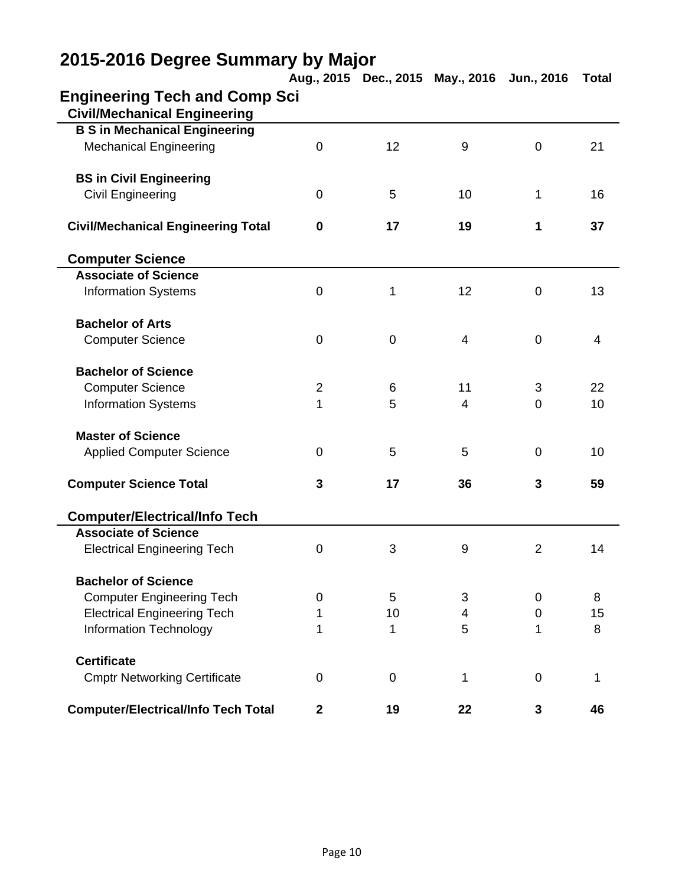|                                            |                | Aug., 2015 Dec., 2015 May., 2016 |                | Jun., 2016     | <b>Total</b>   |
|--------------------------------------------|----------------|----------------------------------|----------------|----------------|----------------|
| <b>Engineering Tech and Comp Sci</b>       |                |                                  |                |                |                |
| <b>Civil/Mechanical Engineering</b>        |                |                                  |                |                |                |
| <b>B S in Mechanical Engineering</b>       |                |                                  |                |                |                |
| <b>Mechanical Engineering</b>              | 0              | 12                               | $9\,$          | $\mathbf 0$    | 21             |
| <b>BS in Civil Engineering</b>             |                |                                  |                |                |                |
| <b>Civil Engineering</b>                   | 0              | 5                                | 10             | 1              | 16             |
| <b>Civil/Mechanical Engineering Total</b>  | 0              | 17                               | 19             | 1              | 37             |
| <b>Computer Science</b>                    |                |                                  |                |                |                |
| <b>Associate of Science</b>                |                |                                  |                |                |                |
| <b>Information Systems</b>                 | 0              | 1                                | 12             | 0              | 13             |
| <b>Bachelor of Arts</b>                    |                |                                  |                |                |                |
| <b>Computer Science</b>                    | 0              | $\mathbf 0$                      | $\overline{4}$ | $\mathbf 0$    | $\overline{4}$ |
| <b>Bachelor of Science</b>                 |                |                                  |                |                |                |
| <b>Computer Science</b>                    | $\overline{2}$ | 6                                | 11             | 3              | 22             |
| <b>Information Systems</b>                 | 1              | 5                                | 4              | $\overline{0}$ | 10             |
| <b>Master of Science</b>                   |                |                                  |                |                |                |
| <b>Applied Computer Science</b>            | 0              | 5                                | 5              | $\mathbf 0$    | 10             |
| <b>Computer Science Total</b>              | 3              | 17                               | 36             | 3              | 59             |
| <b>Computer/Electrical/Info Tech</b>       |                |                                  |                |                |                |
| <b>Associate of Science</b>                |                |                                  |                |                |                |
| <b>Electrical Engineering Tech</b>         | 0              | 3                                | 9              | $\overline{2}$ | 14             |
| <b>Bachelor of Science</b>                 |                |                                  |                |                |                |
| <b>Computer Engineering Tech</b>           | 0              | 5                                | 3              | 0              | 8              |
| <b>Electrical Engineering Tech</b>         | 1              | 10                               | 4              | 0              | 15             |
| <b>Information Technology</b>              | 1              | 1                                | 5              | 1              | 8              |
| <b>Certificate</b>                         |                |                                  |                |                |                |
| <b>Cmptr Networking Certificate</b>        | 0              | 0                                | 1              | 0              | 1              |
| <b>Computer/Electrical/Info Tech Total</b> | $\mathbf{2}$   | 19                               | 22             | 3              | 46             |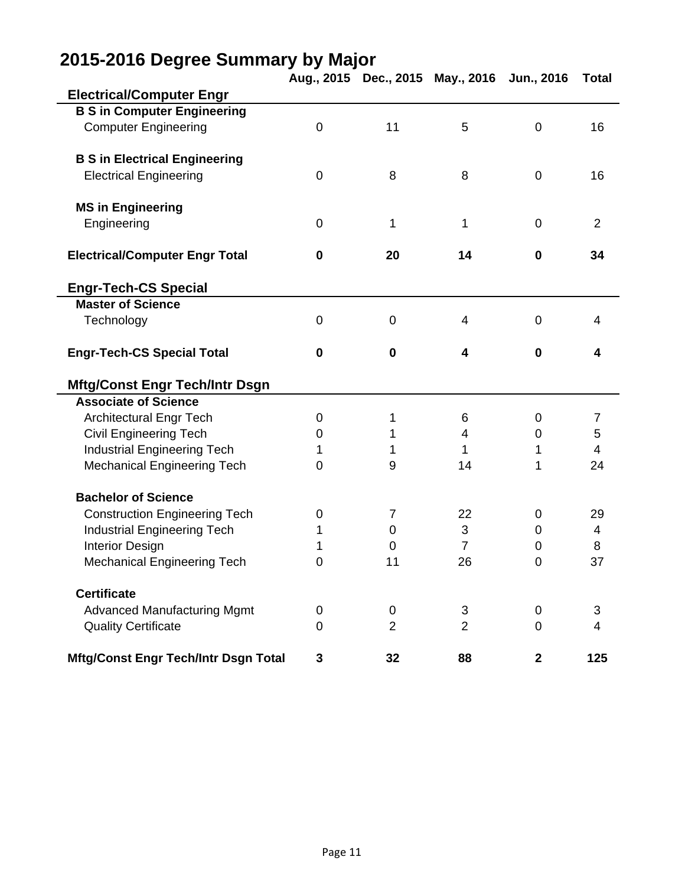|                                             |             |                | Aug., 2015 Dec., 2015 May., 2016 | Jun., 2016     | <b>Total</b>   |
|---------------------------------------------|-------------|----------------|----------------------------------|----------------|----------------|
| <b>Electrical/Computer Engr</b>             |             |                |                                  |                |                |
| <b>B S in Computer Engineering</b>          |             |                |                                  |                |                |
| <b>Computer Engineering</b>                 | 0           | 11             | 5                                | $\mathbf 0$    | 16             |
|                                             |             |                |                                  |                |                |
| <b>B S in Electrical Engineering</b>        |             |                |                                  |                |                |
| <b>Electrical Engineering</b>               | 0           | 8              | 8                                | $\mathbf 0$    | 16             |
| <b>MS in Engineering</b>                    |             |                |                                  |                |                |
| Engineering                                 | 0           | 1              | 1                                | $\mathbf 0$    | $\overline{2}$ |
|                                             |             |                |                                  |                |                |
| <b>Electrical/Computer Engr Total</b>       | 0           | 20             | 14                               | 0              | 34             |
| <b>Engr-Tech-CS Special</b>                 |             |                |                                  |                |                |
| <b>Master of Science</b>                    |             |                |                                  |                |                |
| Technology                                  | 0           | $\mathbf 0$    | 4                                | $\mathbf 0$    | 4              |
|                                             |             |                |                                  |                |                |
| <b>Engr-Tech-CS Special Total</b>           | $\mathbf 0$ | $\mathbf 0$    | 4                                | $\mathbf 0$    | 4              |
| <b>Mftg/Const Engr Tech/Intr Dsgn</b>       |             |                |                                  |                |                |
| <b>Associate of Science</b>                 |             |                |                                  |                |                |
| <b>Architectural Engr Tech</b>              | 0           | 1              | 6                                | 0              | 7              |
| <b>Civil Engineering Tech</b>               | 0           | 1              | 4                                | 0              | 5              |
| <b>Industrial Engineering Tech</b>          | 1           | 1              | 1                                | 1              | 4              |
| <b>Mechanical Engineering Tech</b>          | 0           | 9              | 14                               | 1              | 24             |
|                                             |             |                |                                  |                |                |
| <b>Bachelor of Science</b>                  |             |                |                                  |                |                |
| <b>Construction Engineering Tech</b>        | 0           | $\overline{7}$ | 22                               | 0              | 29             |
| <b>Industrial Engineering Tech</b>          | 1           | 0              | 3                                | 0              | 4              |
| <b>Interior Design</b>                      | 1           | 0              | $\overline{7}$                   | 0              | 8              |
| <b>Mechanical Engineering Tech</b>          | 0           | 11             | 26                               | 0              | 37             |
| <b>Certificate</b>                          |             |                |                                  |                |                |
| <b>Advanced Manufacturing Mgmt</b>          | 0           | 0              | 3                                | 0              | 3              |
| <b>Quality Certificate</b>                  | 0           | $\overline{2}$ | $\overline{2}$                   | $\overline{0}$ | 4              |
| <b>Mftg/Const Engr Tech/Intr Dsgn Total</b> | 3           | 32             | 88                               | $\mathbf 2$    | 125            |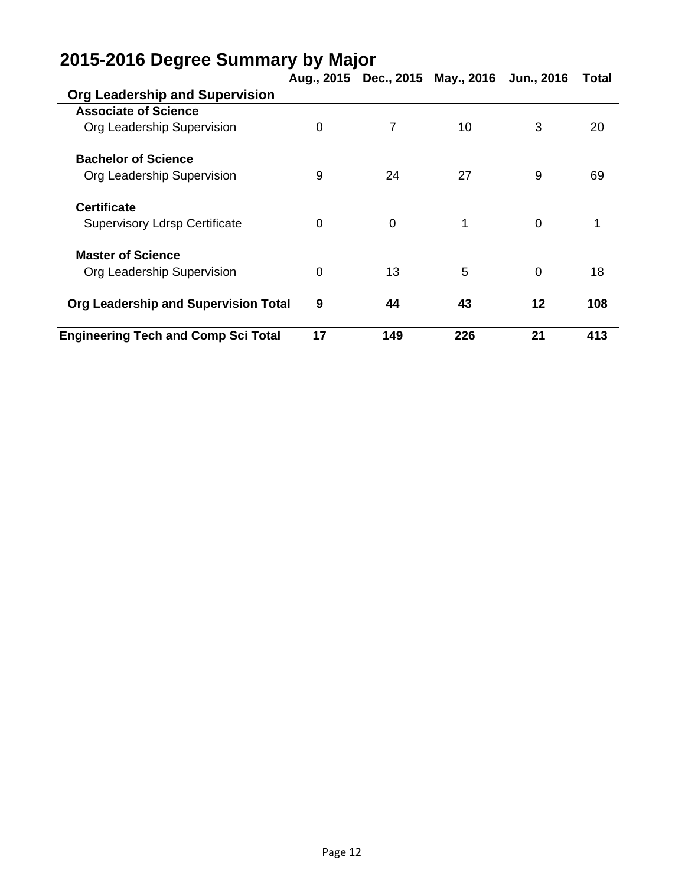| IJ                                         |          |                | Aug., 2015 Dec., 2015 May., 2016 Jun., 2016 |          | Total |
|--------------------------------------------|----------|----------------|---------------------------------------------|----------|-------|
| <b>Org Leadership and Supervision</b>      |          |                |                                             |          |       |
| <b>Associate of Science</b>                |          |                |                                             |          |       |
| Org Leadership Supervision                 | 0        | 7              | 10                                          | 3        | 20    |
| <b>Bachelor of Science</b>                 |          |                |                                             |          |       |
| Org Leadership Supervision                 | 9        | 24             | 27                                          | 9        | 69    |
| <b>Certificate</b>                         |          |                |                                             |          |       |
| <b>Supervisory Ldrsp Certificate</b>       | $\Omega$ | $\overline{0}$ | 1                                           | $\Omega$ |       |
| <b>Master of Science</b>                   |          |                |                                             |          |       |
| Org Leadership Supervision                 | 0        | 13             | 5                                           | $\Omega$ | 18    |
| Org Leadership and Supervision Total       | 9        | 44             | 43                                          | 12       | 108   |
| <b>Engineering Tech and Comp Sci Total</b> | 17       | 149            | 226                                         | 21       | 413   |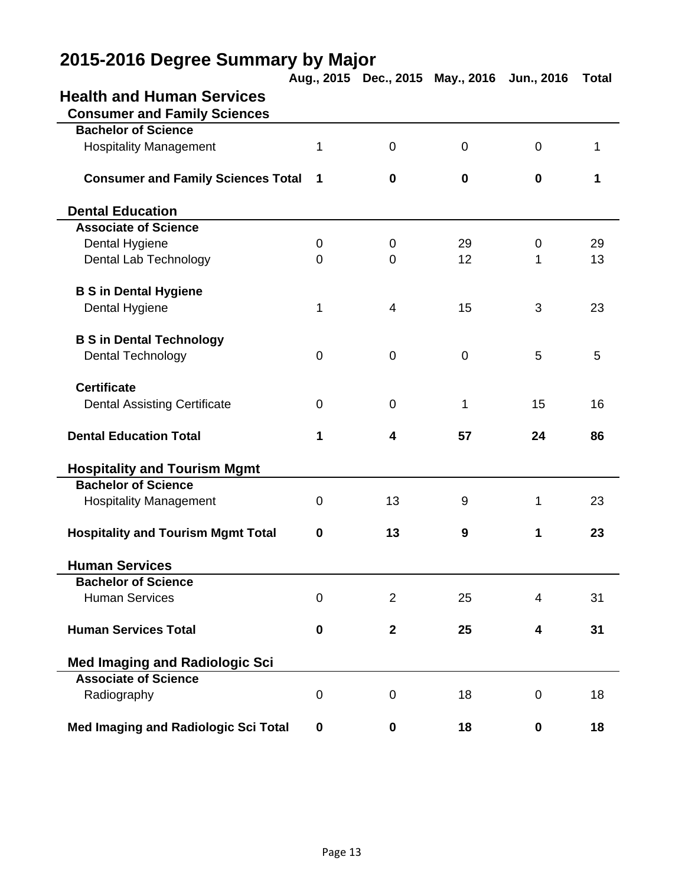|                                           |                  |                         | Aug., 2015 Dec., 2015 May., 2016 | Jun., 2016              | <b>Total</b> |
|-------------------------------------------|------------------|-------------------------|----------------------------------|-------------------------|--------------|
| <b>Health and Human Services</b>          |                  |                         |                                  |                         |              |
| <b>Consumer and Family Sciences</b>       |                  |                         |                                  |                         |              |
| <b>Bachelor of Science</b>                |                  |                         |                                  |                         |              |
| <b>Hospitality Management</b>             | 1                | $\mathbf 0$             | $\mathbf 0$                      | $\overline{0}$          | 1            |
| <b>Consumer and Family Sciences Total</b> | 1                | $\bf{0}$                | $\bf{0}$                         | $\mathbf 0$             | 1            |
| <b>Dental Education</b>                   |                  |                         |                                  |                         |              |
| <b>Associate of Science</b>               |                  |                         |                                  |                         |              |
| Dental Hygiene                            | $\mathbf 0$      | 0                       | 29                               | $\mathbf 0$             | 29           |
| Dental Lab Technology                     | $\mathbf 0$      | $\mathbf 0$             | 12                               | 1                       | 13           |
| <b>B S in Dental Hygiene</b>              |                  |                         |                                  |                         |              |
| Dental Hygiene                            | 1                | $\overline{4}$          | 15                               | 3                       | 23           |
| <b>B S in Dental Technology</b>           |                  |                         |                                  |                         |              |
| Dental Technology                         | $\mathbf 0$      | $\mathbf 0$             | $\mathbf 0$                      | 5                       | 5            |
| <b>Certificate</b>                        |                  |                         |                                  |                         |              |
| <b>Dental Assisting Certificate</b>       | 0                | 0                       | 1                                | 15                      | 16           |
| <b>Dental Education Total</b>             | 1                | 4                       | 57                               | 24                      | 86           |
| <b>Hospitality and Tourism Mgmt</b>       |                  |                         |                                  |                         |              |
| <b>Bachelor of Science</b>                |                  |                         |                                  |                         |              |
| <b>Hospitality Management</b>             | 0                | 13                      | 9                                | 1                       | 23           |
| <b>Hospitality and Tourism Mgmt Total</b> | $\mathbf 0$      | 13                      | 9                                | 1                       | 23           |
| <b>Human Services</b>                     |                  |                         |                                  |                         |              |
| <b>Bachelor of Science</b>                |                  |                         |                                  |                         |              |
| <b>Human Services</b>                     | 0                | $\overline{2}$          | 25                               | 4                       | 31           |
| <b>Human Services Total</b>               | $\mathbf 0$      | $\overline{\mathbf{2}}$ | 25                               | $\overline{\mathbf{4}}$ | 31           |
| <b>Med Imaging and Radiologic Sci</b>     |                  |                         |                                  |                         |              |
| <b>Associate of Science</b>               |                  |                         |                                  |                         |              |
| Radiography                               | $\boldsymbol{0}$ | $\boldsymbol{0}$        | 18                               | 0                       | 18           |
| Med Imaging and Radiologic Sci Total      | $\mathbf 0$      | 0                       | 18                               | 0                       | 18           |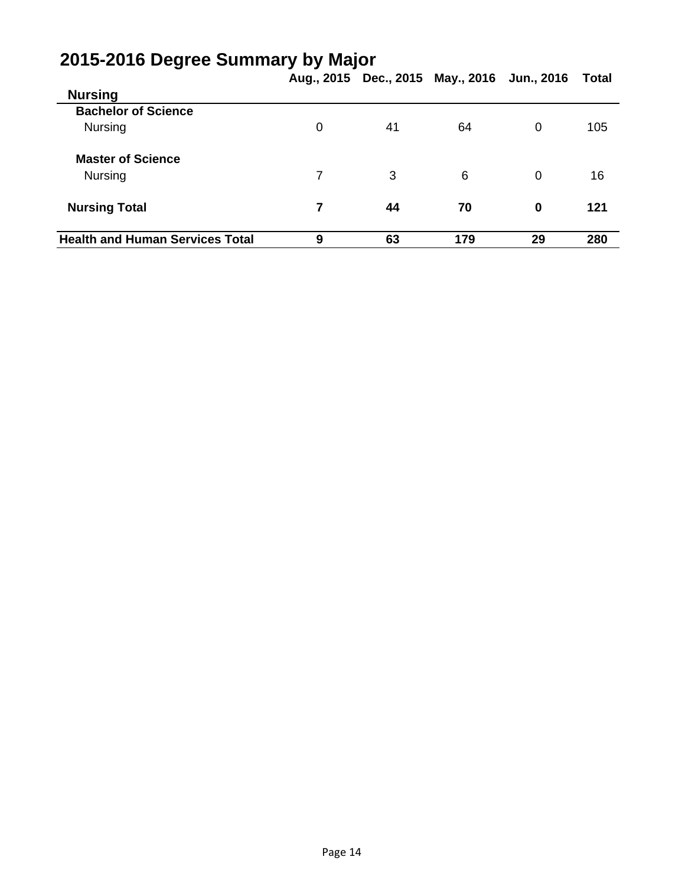|                                        | Aug., 2015 Dec., 2015 May., 2016 Jun., 2016 |    |     |    |       |  |
|----------------------------------------|---------------------------------------------|----|-----|----|-------|--|
|                                        |                                             |    |     |    | Total |  |
| <b>Nursing</b>                         |                                             |    |     |    |       |  |
| <b>Bachelor of Science</b>             |                                             |    |     |    |       |  |
| <b>Nursing</b>                         | 0                                           | 41 | 64  | 0  | 105   |  |
| <b>Master of Science</b>               |                                             |    |     |    |       |  |
| <b>Nursing</b>                         | 7                                           | 3  | 6   | 0  | 16    |  |
| <b>Nursing Total</b>                   | 7                                           | 44 | 70  | 0  | 121   |  |
| <b>Health and Human Services Total</b> | 9                                           | 63 | 179 | 29 | 280   |  |